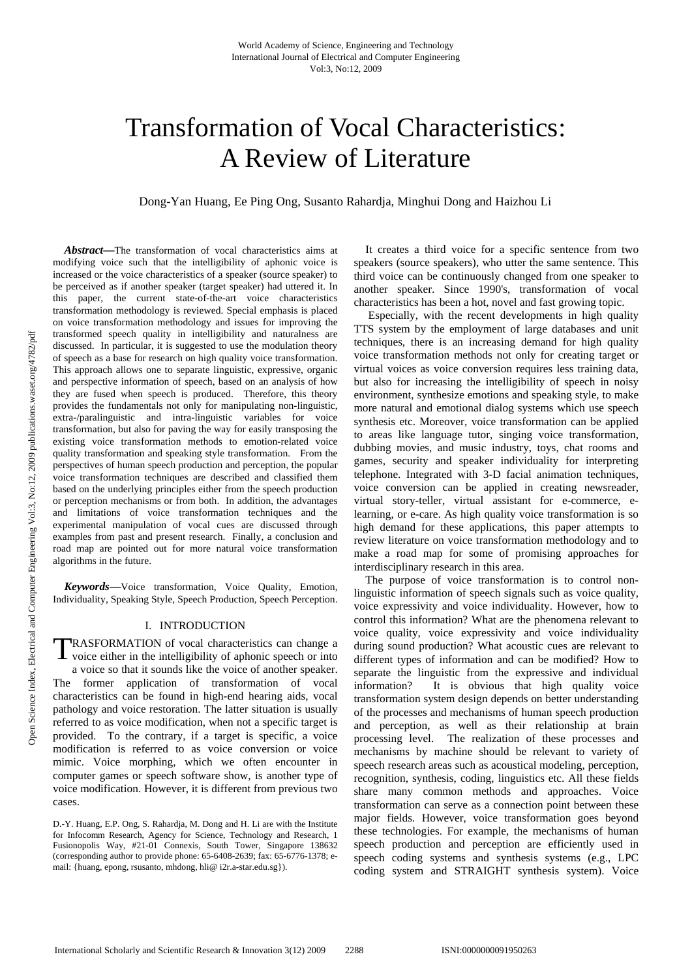# Transformation of Vocal Characteristics: A Review of Literature

Dong-Yan Huang, Ee Ping Ong, Susanto Rahardja, Minghui Dong and Haizhou Li

*Abstract***—**The transformation of vocal characteristics aims at modifying voice such that the intelligibility of aphonic voice is increased or the voice characteristics of a speaker (source speaker) to be perceived as if another speaker (target speaker) had uttered it. In this paper, the current state-of-the-art voice characteristics transformation methodology is reviewed. Special emphasis is placed on voice transformation methodology and issues for improving the transformed speech quality in intelligibility and naturalness are discussed. In particular, it is suggested to use the modulation theory of speech as a base for research on high quality voice transformation. This approach allows one to separate linguistic, expressive, organic and perspective information of speech, based on an analysis of how they are fused when speech is produced. Therefore, this theory provides the fundamentals not only for manipulating non-linguistic, extra-/paralinguistic and intra-linguistic variables for voice transformation, but also for paving the way for easily transposing the existing voice transformation methods to emotion-related voice quality transformation and speaking style transformation. From the perspectives of human speech production and perception, the popular voice transformation techniques are described and classified them based on the underlying principles either from the speech production or perception mechanisms or from both. In addition, the advantages and limitations of voice transformation techniques and the experimental manipulation of vocal cues are discussed through examples from past and present research. Finally, a conclusion and road map are pointed out for more natural voice transformation algorithms in the future.

*Keywords***—**Voice transformation, Voice Quality, Emotion, Individuality, Speaking Style, Speech Production, Speech Perception.

# I. INTRODUCTION

RASFORMATION of vocal characteristics can change a TRASFORMATION of vocal characteristics can change a voice either in the intelligibility of aphonic speech or into a voice so that it sounds like the voice of another speaker. The former application of transformation of vocal characteristics can be found in high-end hearing aids, vocal pathology and voice restoration. The latter situation is usually referred to as voice modification, when not a specific target is provided. To the contrary, if a target is specific, a voice modification is referred to as voice conversion or voice mimic. Voice morphing, which we often encounter in computer games or speech software show, is another type of voice modification. However, it is different from previous two cases.

D.-Y. Huang, E.P. Ong, S. Rahardja, M. Dong and H. Li are with the Institute for Infocomm Research, Agency for Science, Technology and Research, 1 Fusionopolis Way, #21-01 Connexis, South Tower, Singapore 138632 (corresponding author to provide phone: 65-6408-2639; fax: 65-6776-1378; email: {huang, epong, rsusanto, mhdong, hli@ i2r.a-star.edu.sg}).

It creates a third voice for a specific sentence from two speakers (source speakers), who utter the same sentence. This third voice can be continuously changed from one speaker to another speaker. Since 1990's, transformation of vocal characteristics has been a hot, novel and fast growing topic.

 Especially, with the recent developments in high quality TTS system by the employment of large databases and unit techniques, there is an increasing demand for high quality voice transformation methods not only for creating target or virtual voices as voice conversion requires less training data, but also for increasing the intelligibility of speech in noisy environment, synthesize emotions and speaking style, to make more natural and emotional dialog systems which use speech synthesis etc. Moreover, voice transformation can be applied to areas like language tutor, singing voice transformation, dubbing movies, and music industry, toys, chat rooms and games, security and speaker individuality for interpreting telephone. Integrated with 3-D facial animation techniques, voice conversion can be applied in creating newsreader, virtual story-teller, virtual assistant for e-commerce, elearning, or e-care. As high quality voice transformation is so high demand for these applications, this paper attempts to review literature on voice transformation methodology and to make a road map for some of promising approaches for interdisciplinary research in this area.

The purpose of voice transformation is to control nonlinguistic information of speech signals such as voice quality, voice expressivity and voice individuality. However, how to control this information? What are the phenomena relevant to voice quality, voice expressivity and voice individuality during sound production? What acoustic cues are relevant to different types of information and can be modified? How to separate the linguistic from the expressive and individual information? It is obvious that high quality voice transformation system design depends on better understanding of the processes and mechanisms of human speech production and perception, as well as their relationship at brain processing level. The realization of these processes and mechanisms by machine should be relevant to variety of speech research areas such as acoustical modeling, perception, recognition, synthesis, coding, linguistics etc. All these fields share many common methods and approaches. Voice transformation can serve as a connection point between these major fields. However, voice transformation goes beyond these technologies. For example, the mechanisms of human speech production and perception are efficiently used in speech coding systems and synthesis systems (e.g., LPC coding system and STRAIGHT synthesis system). Voice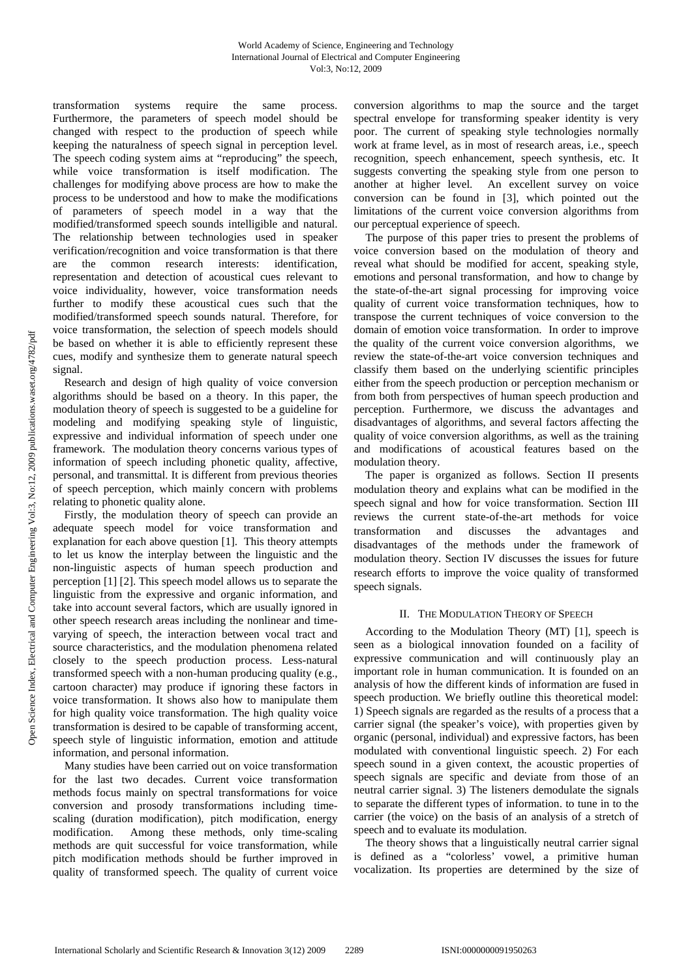transformation systems require the same process. Furthermore, the parameters of speech model should be changed with respect to the production of speech while keeping the naturalness of speech signal in perception level. The speech coding system aims at "reproducing" the speech, while voice transformation is itself modification. The challenges for modifying above process are how to make the process to be understood and how to make the modifications of parameters of speech model in a way that the modified/transformed speech sounds intelligible and natural. The relationship between technologies used in speaker verification/recognition and voice transformation is that there are the common research interests: identification, representation and detection of acoustical cues relevant to voice individuality, however, voice transformation needs further to modify these acoustical cues such that the modified/transformed speech sounds natural. Therefore, for voice transformation, the selection of speech models should be based on whether it is able to efficiently represent these cues, modify and synthesize them to generate natural speech signal.

Research and design of high quality of voice conversion algorithms should be based on a theory. In this paper, the modulation theory of speech is suggested to be a guideline for modeling and modifying speaking style of linguistic, expressive and individual information of speech under one framework. The modulation theory concerns various types of information of speech including phonetic quality, affective, personal, and transmittal. It is different from previous theories of speech perception, which mainly concern with problems relating to phonetic quality alone.

Firstly, the modulation theory of speech can provide an adequate speech model for voice transformation and explanation for each above question [1]. This theory attempts to let us know the interplay between the linguistic and the non-linguistic aspects of human speech production and perception [1] [2]. This speech model allows us to separate the linguistic from the expressive and organic information, and take into account several factors, which are usually ignored in other speech research areas including the nonlinear and timevarying of speech, the interaction between vocal tract and source characteristics, and the modulation phenomena related closely to the speech production process. Less-natural transformed speech with a non-human producing quality (e.g., cartoon character) may produce if ignoring these factors in voice transformation. It shows also how to manipulate them for high quality voice transformation. The high quality voice transformation is desired to be capable of transforming accent, speech style of linguistic information, emotion and attitude information, and personal information.

Many studies have been carried out on voice transformation for the last two decades. Current voice transformation methods focus mainly on spectral transformations for voice conversion and prosody transformations including timescaling (duration modification), pitch modification, energy modification. Among these methods, only time-scaling methods are quit successful for voice transformation, while pitch modification methods should be further improved in quality of transformed speech. The quality of current voice conversion algorithms to map the source and the target spectral envelope for transforming speaker identity is very poor. The current of speaking style technologies normally work at frame level, as in most of research areas, i.e., speech recognition, speech enhancement, speech synthesis, etc. It suggests converting the speaking style from one person to another at higher level. An excellent survey on voice conversion can be found in [3], which pointed out the limitations of the current voice conversion algorithms from our perceptual experience of speech.

The purpose of this paper tries to present the problems of voice conversion based on the modulation of theory and reveal what should be modified for accent, speaking style, emotions and personal transformation, and how to change by the state-of-the-art signal processing for improving voice quality of current voice transformation techniques, how to transpose the current techniques of voice conversion to the domain of emotion voice transformation. In order to improve the quality of the current voice conversion algorithms, we review the state-of-the-art voice conversion techniques and classify them based on the underlying scientific principles either from the speech production or perception mechanism or from both from perspectives of human speech production and perception. Furthermore, we discuss the advantages and disadvantages of algorithms, and several factors affecting the quality of voice conversion algorithms, as well as the training and modifications of acoustical features based on the modulation theory.

The paper is organized as follows. Section II presents modulation theory and explains what can be modified in the speech signal and how for voice transformation. Section III reviews the current state-of-the-art methods for voice transformation and discusses the advantages and disadvantages of the methods under the framework of modulation theory. Section IV discusses the issues for future research efforts to improve the voice quality of transformed speech signals.

# II. THE MODULATION THEORY OF SPEECH

According to the Modulation Theory (MT) [1], speech is seen as a biological innovation founded on a facility of expressive communication and will continuously play an important role in human communication. It is founded on an analysis of how the different kinds of information are fused in speech production. We briefly outline this theoretical model: 1) Speech signals are regarded as the results of a process that a carrier signal (the speaker's voice), with properties given by organic (personal, individual) and expressive factors, has been modulated with conventional linguistic speech. 2) For each speech sound in a given context, the acoustic properties of speech signals are specific and deviate from those of an neutral carrier signal. 3) The listeners demodulate the signals to separate the different types of information. to tune in to the carrier (the voice) on the basis of an analysis of a stretch of speech and to evaluate its modulation.

The theory shows that a linguistically neutral carrier signal is defined as a "colorless' vowel, a primitive human vocalization. Its properties are determined by the size of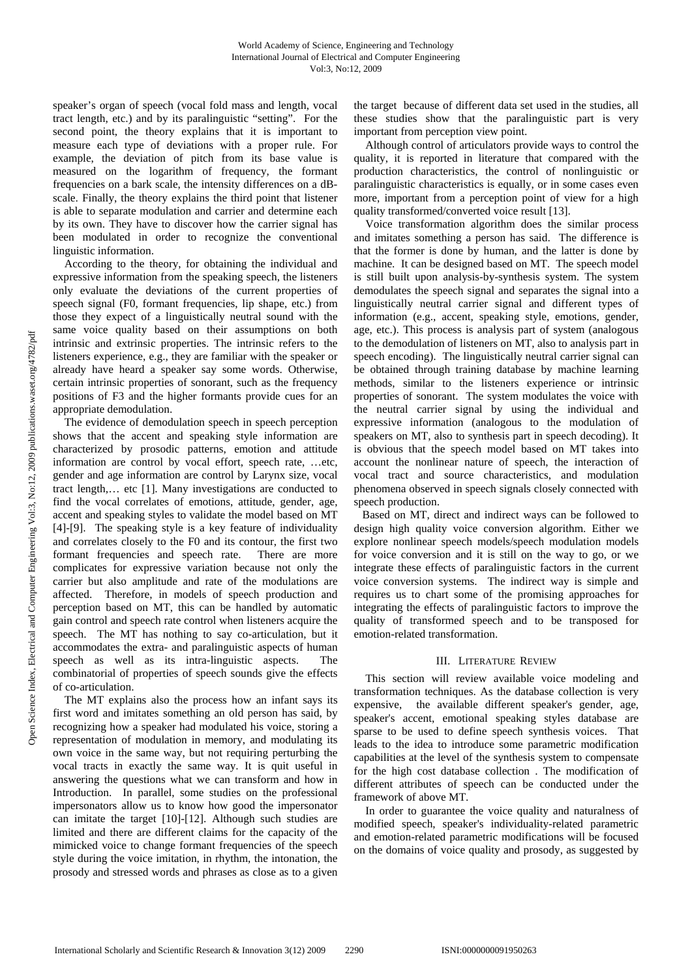speaker's organ of speech (vocal fold mass and length, vocal tract length, etc.) and by its paralinguistic "setting". For the second point, the theory explains that it is important to measure each type of deviations with a proper rule. For example, the deviation of pitch from its base value is measured on the logarithm of frequency, the formant frequencies on a bark scale, the intensity differences on a dBscale. Finally, the theory explains the third point that listener is able to separate modulation and carrier and determine each by its own. They have to discover how the carrier signal has been modulated in order to recognize the conventional linguistic information.

According to the theory, for obtaining the individual and expressive information from the speaking speech, the listeners only evaluate the deviations of the current properties of speech signal (F0, formant frequencies, lip shape, etc.) from those they expect of a linguistically neutral sound with the same voice quality based on their assumptions on both intrinsic and extrinsic properties. The intrinsic refers to the listeners experience, e.g., they are familiar with the speaker or already have heard a speaker say some words. Otherwise, certain intrinsic properties of sonorant, such as the frequency positions of F3 and the higher formants provide cues for an appropriate demodulation.

The evidence of demodulation speech in speech perception shows that the accent and speaking style information are characterized by prosodic patterns, emotion and attitude information are control by vocal effort, speech rate, …etc, gender and age information are control by Larynx size, vocal tract length,… etc [1]. Many investigations are conducted to find the vocal correlates of emotions, attitude, gender, age, accent and speaking styles to validate the model based on MT [4]-[9]. The speaking style is a key feature of individuality and correlates closely to the F0 and its contour, the first two formant frequencies and speech rate. There are more complicates for expressive variation because not only the carrier but also amplitude and rate of the modulations are affected. Therefore, in models of speech production and perception based on MT, this can be handled by automatic gain control and speech rate control when listeners acquire the speech. The MT has nothing to say co-articulation, but it accommodates the extra- and paralinguistic aspects of human speech as well as its intra-linguistic aspects. The combinatorial of properties of speech sounds give the effects of co-articulation.

The MT explains also the process how an infant says its first word and imitates something an old person has said, by recognizing how a speaker had modulated his voice, storing a representation of modulation in memory, and modulating its own voice in the same way, but not requiring perturbing the vocal tracts in exactly the same way. It is quit useful in answering the questions what we can transform and how in Introduction. In parallel, some studies on the professional impersonators allow us to know how good the impersonator can imitate the target [10]-[12]. Although such studies are limited and there are different claims for the capacity of the mimicked voice to change formant frequencies of the speech style during the voice imitation, in rhythm, the intonation, the prosody and stressed words and phrases as close as to a given

the target because of different data set used in the studies, all these studies show that the paralinguistic part is very important from perception view point.

Although control of articulators provide ways to control the quality, it is reported in literature that compared with the production characteristics, the control of nonlinguistic or paralinguistic characteristics is equally, or in some cases even more, important from a perception point of view for a high quality transformed/converted voice result [13].

Voice transformation algorithm does the similar process and imitates something a person has said. The difference is that the former is done by human, and the latter is done by machine. It can be designed based on MT. The speech model is still built upon analysis-by-synthesis system. The system demodulates the speech signal and separates the signal into a linguistically neutral carrier signal and different types of information (e.g., accent, speaking style, emotions, gender, age, etc.). This process is analysis part of system (analogous to the demodulation of listeners on MT, also to analysis part in speech encoding). The linguistically neutral carrier signal can be obtained through training database by machine learning methods, similar to the listeners experience or intrinsic properties of sonorant. The system modulates the voice with the neutral carrier signal by using the individual and expressive information (analogous to the modulation of speakers on MT, also to synthesis part in speech decoding). It is obvious that the speech model based on MT takes into account the nonlinear nature of speech, the interaction of vocal tract and source characteristics, and modulation phenomena observed in speech signals closely connected with speech production.

 Based on MT, direct and indirect ways can be followed to design high quality voice conversion algorithm. Either we explore nonlinear speech models/speech modulation models for voice conversion and it is still on the way to go, or we integrate these effects of paralinguistic factors in the current voice conversion systems. The indirect way is simple and requires us to chart some of the promising approaches for integrating the effects of paralinguistic factors to improve the quality of transformed speech and to be transposed for emotion-related transformation.

# III. LITERATURE REVIEW

This section will review available voice modeling and transformation techniques. As the database collection is very expensive, the available different speaker's gender, age, speaker's accent, emotional speaking styles database are sparse to be used to define speech synthesis voices. That leads to the idea to introduce some parametric modification capabilities at the level of the synthesis system to compensate for the high cost database collection . The modification of different attributes of speech can be conducted under the framework of above MT.

In order to guarantee the voice quality and naturalness of modified speech, speaker's individuality-related parametric and emotion-related parametric modifications will be focused on the domains of voice quality and prosody, as suggested by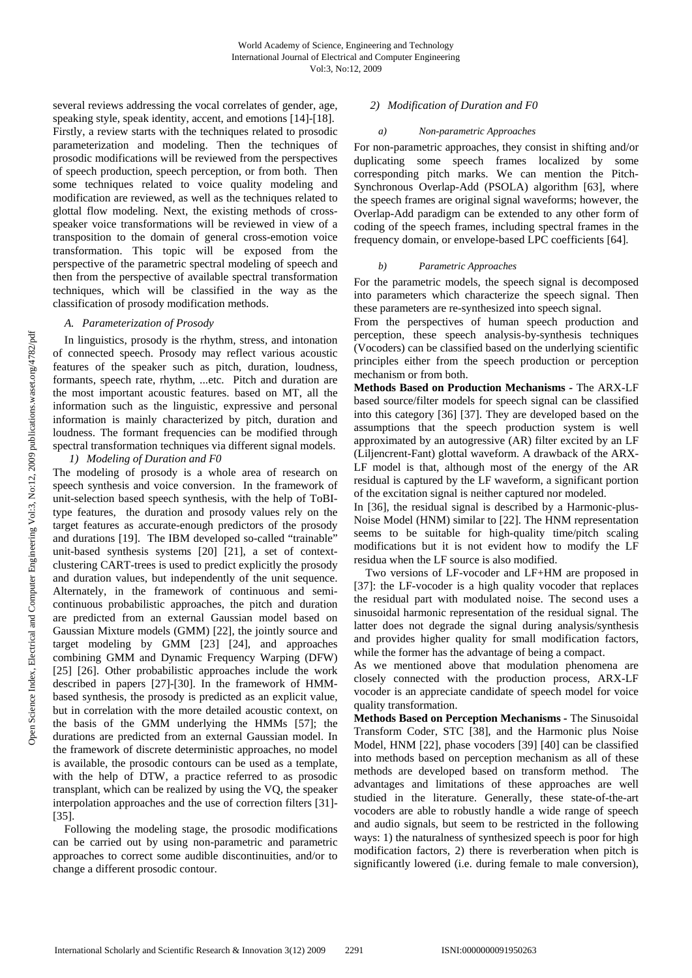several reviews addressing the vocal correlates of gender, age, speaking style, speak identity, accent, and emotions [14]-[18]. Firstly, a review starts with the techniques related to prosodic parameterization and modeling. Then the techniques of prosodic modifications will be reviewed from the perspectives of speech production, speech perception, or from both. Then some techniques related to voice quality modeling and modification are reviewed, as well as the techniques related to glottal flow modeling. Next, the existing methods of crossspeaker voice transformations will be reviewed in view of a transposition to the domain of general cross-emotion voice transformation. This topic will be exposed from the perspective of the parametric spectral modeling of speech and then from the perspective of available spectral transformation techniques, which will be classified in the way as the classification of prosody modification methods.

## *A. Parameterization of Prosody*

In linguistics, prosody is the rhythm, stress, and intonation of connected speech. Prosody may reflect various acoustic features of the speaker such as pitch, duration, loudness, formants, speech rate, rhythm, ...etc. Pitch and duration are the most important acoustic features. based on MT, all the information such as the linguistic, expressive and personal information is mainly characterized by pitch, duration and loudness. The formant frequencies can be modified through spectral transformation techniques via different signal models.

## *1) Modeling of Duration and F0*

The modeling of prosody is a whole area of research on speech synthesis and voice conversion. In the framework of unit-selection based speech synthesis, with the help of ToBItype features, the duration and prosody values rely on the target features as accurate-enough predictors of the prosody and durations [19]. The IBM developed so-called "trainable" unit-based synthesis systems [20] [21], a set of contextclustering CART-trees is used to predict explicitly the prosody and duration values, but independently of the unit sequence. Alternately, in the framework of continuous and semicontinuous probabilistic approaches, the pitch and duration are predicted from an external Gaussian model based on Gaussian Mixture models (GMM) [22], the jointly source and target modeling by GMM [23] [24], and approaches combining GMM and Dynamic Frequency Warping (DFW) [25] [26]. Other probabilistic approaches include the work described in papers [27]-[30]. In the framework of HMMbased synthesis, the prosody is predicted as an explicit value, but in correlation with the more detailed acoustic context, on the basis of the GMM underlying the HMMs [57]; the durations are predicted from an external Gaussian model. In the framework of discrete deterministic approaches, no model is available, the prosodic contours can be used as a template, with the help of DTW, a practice referred to as prosodic transplant, which can be realized by using the VQ, the speaker interpolation approaches and the use of correction filters [31]- [35].

Following the modeling stage, the prosodic modifications can be carried out by using non-parametric and parametric approaches to correct some audible discontinuities, and/or to change a different prosodic contour.

# *2) Modification of Duration and F0*

#### *a) Non-parametric Approaches*

For non-parametric approaches, they consist in shifting and/or duplicating some speech frames localized by some corresponding pitch marks. We can mention the Pitch-Synchronous Overlap-Add (PSOLA) algorithm [63], where the speech frames are original signal waveforms; however, the Overlap-Add paradigm can be extended to any other form of coding of the speech frames, including spectral frames in the frequency domain, or envelope-based LPC coefficients [64].

#### *b) Parametric Approaches*

For the parametric models, the speech signal is decomposed into parameters which characterize the speech signal. Then these parameters are re-synthesized into speech signal.

From the perspectives of human speech production and perception, these speech analysis-by-synthesis techniques (Vocoders) can be classified based on the underlying scientific principles either from the speech production or perception mechanism or from both.

**Methods Based on Production Mechanisms** *-* The ARX-LF based source/filter models for speech signal can be classified into this category [36] [37]. They are developed based on the assumptions that the speech production system is well approximated by an autogressive (AR) filter excited by an LF (Liljencrent-Fant) glottal waveform. A drawback of the ARX-LF model is that, although most of the energy of the AR residual is captured by the LF waveform, a significant portion of the excitation signal is neither captured nor modeled.

In [36], the residual signal is described by a Harmonic-plus-Noise Model (HNM) similar to [22]. The HNM representation seems to be suitable for high-quality time/pitch scaling modifications but it is not evident how to modify the LF residua when the LF source is also modified.

Two versions of LF-vocoder and LF+HM are proposed in [37]: the LF-vocoder is a high quality vocoder that replaces the residual part with modulated noise. The second uses a sinusoidal harmonic representation of the residual signal. The latter does not degrade the signal during analysis/synthesis and provides higher quality for small modification factors, while the former has the advantage of being a compact.

As we mentioned above that modulation phenomena are closely connected with the production process, ARX-LF vocoder is an appreciate candidate of speech model for voice quality transformation.

**Methods Based on Perception Mechanisms** *-* The Sinusoidal Transform Coder, STC [38], and the Harmonic plus Noise Model, HNM [22], phase vocoders [39] [40] can be classified into methods based on perception mechanism as all of these methods are developed based on transform method. The advantages and limitations of these approaches are well studied in the literature. Generally, these state-of-the-art vocoders are able to robustly handle a wide range of speech and audio signals, but seem to be restricted in the following ways: 1) the naturalness of synthesized speech is poor for high modification factors, 2) there is reverberation when pitch is significantly lowered (i.e. during female to male conversion),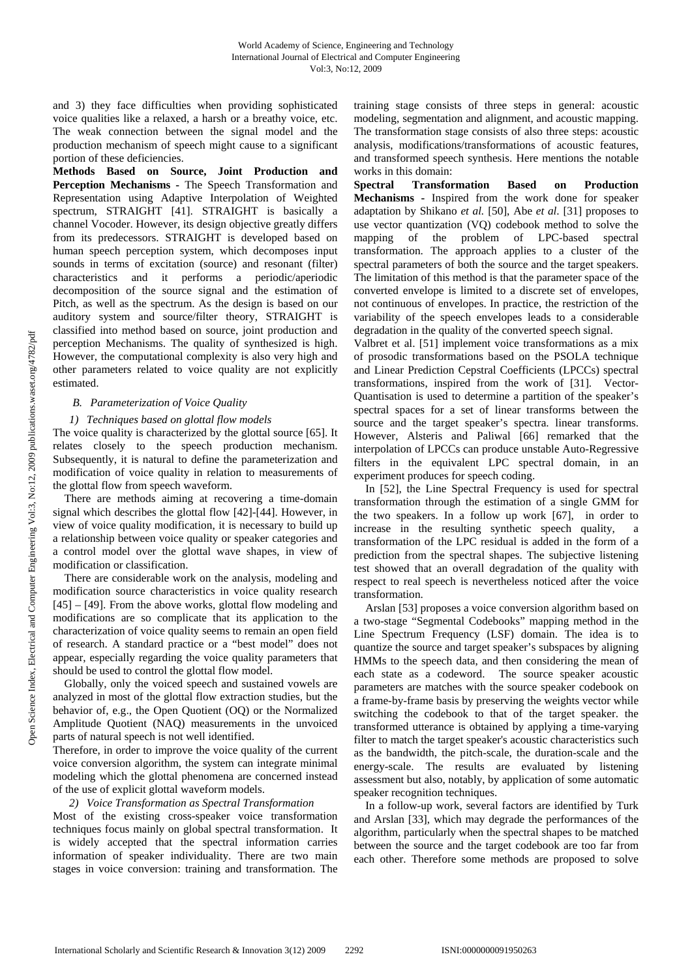and 3) they face difficulties when providing sophisticated voice qualities like a relaxed, a harsh or a breathy voice, etc. The weak connection between the signal model and the production mechanism of speech might cause to a significant portion of these deficiencies.

**Methods Based on Source, Joint Production and Perception Mechanisms -** The Speech Transformation and Representation using Adaptive Interpolation of Weighted spectrum, STRAIGHT [41]. STRAIGHT is basically a channel Vocoder. However, its design objective greatly differs from its predecessors. STRAIGHT is developed based on human speech perception system, which decomposes input sounds in terms of excitation (source) and resonant (filter) characteristics and it performs a periodic/aperiodic decomposition of the source signal and the estimation of Pitch, as well as the spectrum. As the design is based on our auditory system and source/filter theory, STRAIGHT is classified into method based on source, joint production and perception Mechanisms. The quality of synthesized is high. However, the computational complexity is also very high and other parameters related to voice quality are not explicitly estimated.

# *B. Parameterization of Voice Quality*

# *1) Techniques based on glottal flow models*

The voice quality is characterized by the glottal source [65]. It relates closely to the speech production mechanism. Subsequently, it is natural to define the parameterization and modification of voice quality in relation to measurements of the glottal flow from speech waveform.

There are methods aiming at recovering a time-domain signal which describes the glottal flow [42]-[44]. However, in view of voice quality modification, it is necessary to build up a relationship between voice quality or speaker categories and a control model over the glottal wave shapes, in view of modification or classification.

There are considerable work on the analysis, modeling and modification source characteristics in voice quality research [45] – [49]. From the above works, glottal flow modeling and modifications are so complicate that its application to the characterization of voice quality seems to remain an open field of research. A standard practice or a "best model" does not appear, especially regarding the voice quality parameters that should be used to control the glottal flow model.

Globally, only the voiced speech and sustained vowels are analyzed in most of the glottal flow extraction studies, but the behavior of, e.g., the Open Quotient (OQ) or the Normalized Amplitude Quotient (NAQ) measurements in the unvoiced parts of natural speech is not well identified.

Therefore, in order to improve the voice quality of the current voice conversion algorithm, the system can integrate minimal modeling which the glottal phenomena are concerned instead of the use of explicit glottal waveform models.

# *2) Voice Transformation as Spectral Transformation*

Most of the existing cross-speaker voice transformation techniques focus mainly on global spectral transformation. It is widely accepted that the spectral information carries information of speaker individuality. There are two main stages in voice conversion: training and transformation. The training stage consists of three steps in general: acoustic modeling, segmentation and alignment, and acoustic mapping. The transformation stage consists of also three steps: acoustic analysis, modifications/transformations of acoustic features, and transformed speech synthesis. Here mentions the notable works in this domain:

**Spectral Transformation Based on Production Mechanisms -** Inspired from the work done for speaker adaptation by Shikano *et al.* [50], Abe *et al*. [31] proposes to use vector quantization (VQ) codebook method to solve the mapping of the problem of LPC-based spectral transformation. The approach applies to a cluster of the spectral parameters of both the source and the target speakers. The limitation of this method is that the parameter space of the converted envelope is limited to a discrete set of envelopes, not continuous of envelopes. In practice, the restriction of the variability of the speech envelopes leads to a considerable degradation in the quality of the converted speech signal.

Valbret et al. [51] implement voice transformations as a mix of prosodic transformations based on the PSOLA technique and Linear Prediction Cepstral Coefficients (LPCCs) spectral transformations, inspired from the work of [31]. Vector-Quantisation is used to determine a partition of the speaker's spectral spaces for a set of linear transforms between the source and the target speaker's spectra. linear transforms. However, Alsteris and Paliwal [66] remarked that the interpolation of LPCCs can produce unstable Auto-Regressive filters in the equivalent LPC spectral domain, in an experiment produces for speech coding.

In [52], the Line Spectral Frequency is used for spectral transformation through the estimation of a single GMM for the two speakers. In a follow up work [67], in order to increase in the resulting synthetic speech quality, a transformation of the LPC residual is added in the form of a prediction from the spectral shapes. The subjective listening test showed that an overall degradation of the quality with respect to real speech is nevertheless noticed after the voice transformation.

Arslan [53] proposes a voice conversion algorithm based on a two-stage "Segmental Codebooks" mapping method in the Line Spectrum Frequency (LSF) domain. The idea is to quantize the source and target speaker's subspaces by aligning HMMs to the speech data, and then considering the mean of each state as a codeword. The source speaker acoustic parameters are matches with the source speaker codebook on a frame-by-frame basis by preserving the weights vector while switching the codebook to that of the target speaker. the transformed utterance is obtained by applying a time-varying filter to match the target speaker's acoustic characteristics such as the bandwidth, the pitch-scale, the duration-scale and the energy-scale. The results are evaluated by listening assessment but also, notably, by application of some automatic speaker recognition techniques.

In a follow-up work, several factors are identified by Turk and Arslan [33], which may degrade the performances of the algorithm, particularly when the spectral shapes to be matched between the source and the target codebook are too far from each other. Therefore some methods are proposed to solve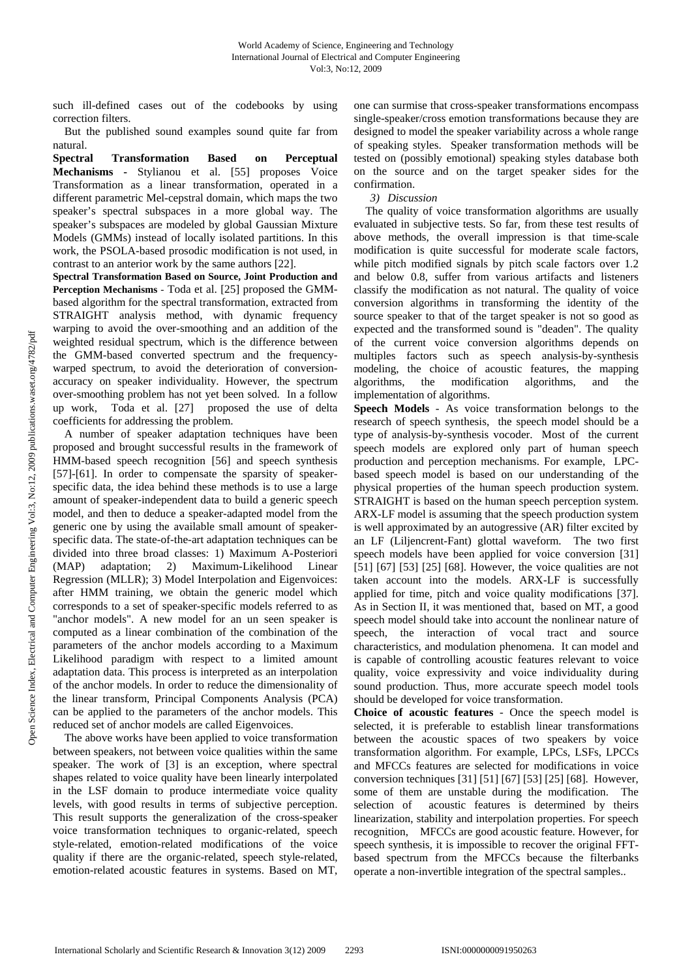such ill-defined cases out of the codebooks by using correction filters.

But the published sound examples sound quite far from natural.

**Spectral Transformation Based on Perceptual Mechanisms -** Stylianou et al. [55] proposes Voice Transformation as a linear transformation, operated in a different parametric Mel-cepstral domain, which maps the two speaker's spectral subspaces in a more global way. The speaker's subspaces are modeled by global Gaussian Mixture Models (GMMs) instead of locally isolated partitions. In this work, the PSOLA-based prosodic modification is not used, in contrast to an anterior work by the same authors [22].

**Spectral Transformation Based on Source, Joint Production and Perception Mechanisms** - Toda et al. [25] proposed the GMMbased algorithm for the spectral transformation, extracted from STRAIGHT analysis method, with dynamic frequency warping to avoid the over-smoothing and an addition of the weighted residual spectrum, which is the difference between the GMM-based converted spectrum and the frequencywarped spectrum, to avoid the deterioration of conversionaccuracy on speaker individuality. However, the spectrum over-smoothing problem has not yet been solved. In a follow up work, Toda et al. [27] proposed the use of delta coefficients for addressing the problem.

A number of speaker adaptation techniques have been proposed and brought successful results in the framework of HMM-based speech recognition [56] and speech synthesis [57]-[61]. In order to compensate the sparsity of speakerspecific data, the idea behind these methods is to use a large amount of speaker-independent data to build a generic speech model, and then to deduce a speaker-adapted model from the generic one by using the available small amount of speakerspecific data. The state-of-the-art adaptation techniques can be divided into three broad classes: 1) Maximum A-Posteriori (MAP) adaptation; 2) Maximum-Likelihood Linear Regression (MLLR); 3) Model Interpolation and Eigenvoices: after HMM training, we obtain the generic model which corresponds to a set of speaker-specific models referred to as "anchor models". A new model for an un seen speaker is computed as a linear combination of the combination of the parameters of the anchor models according to a Maximum Likelihood paradigm with respect to a limited amount adaptation data. This process is interpreted as an interpolation of the anchor models. In order to reduce the dimensionality of the linear transform, Principal Components Analysis (PCA) can be applied to the parameters of the anchor models. This reduced set of anchor models are called Eigenvoices.

The above works have been applied to voice transformation between speakers, not between voice qualities within the same speaker. The work of [3] is an exception, where spectral shapes related to voice quality have been linearly interpolated in the LSF domain to produce intermediate voice quality levels, with good results in terms of subjective perception. This result supports the generalization of the cross-speaker voice transformation techniques to organic-related, speech style-related, emotion-related modifications of the voice quality if there are the organic-related, speech style-related, emotion-related acoustic features in systems. Based on MT, one can surmise that cross-speaker transformations encompass single-speaker/cross emotion transformations because they are designed to model the speaker variability across a whole range of speaking styles. Speaker transformation methods will be tested on (possibly emotional) speaking styles database both on the source and on the target speaker sides for the confirmation.

*3) Discussion* 

The quality of voice transformation algorithms are usually evaluated in subjective tests. So far, from these test results of above methods, the overall impression is that time-scale modification is quite successful for moderate scale factors, while pitch modified signals by pitch scale factors over 1.2 and below 0.8, suffer from various artifacts and listeners classify the modification as not natural. The quality of voice conversion algorithms in transforming the identity of the source speaker to that of the target speaker is not so good as expected and the transformed sound is "deaden". The quality of the current voice conversion algorithms depends on multiples factors such as speech analysis-by-synthesis modeling, the choice of acoustic features, the mapping algorithms, the modification algorithms, and the implementation of algorithms.

**Speech Models** - As voice transformation belongs to the research of speech synthesis, the speech model should be a type of analysis-by-synthesis vocoder. Most of the current speech models are explored only part of human speech production and perception mechanisms. For example, LPCbased speech model is based on our understanding of the physical properties of the human speech production system. STRAIGHT is based on the human speech perception system. ARX-LF model is assuming that the speech production system is well approximated by an autogressive (AR) filter excited by an LF (Liljencrent-Fant) glottal waveform. The two first speech models have been applied for voice conversion [31] [51] [67] [53] [25] [68]. However, the voice qualities are not taken account into the models. ARX-LF is successfully applied for time, pitch and voice quality modifications [37]. As in Section II, it was mentioned that, based on MT, a good speech model should take into account the nonlinear nature of speech, the interaction of vocal tract and source characteristics, and modulation phenomena. It can model and is capable of controlling acoustic features relevant to voice quality, voice expressivity and voice individuality during sound production. Thus, more accurate speech model tools should be developed for voice transformation.

**Choice of acoustic features** - Once the speech model is selected, it is preferable to establish linear transformations between the acoustic spaces of two speakers by voice transformation algorithm. For example, LPCs, LSFs, LPCCs and MFCCs features are selected for modifications in voice conversion techniques [31] [51] [67] [53] [25] [68]. However, some of them are unstable during the modification. The selection of acoustic features is determined by theirs linearization, stability and interpolation properties. For speech recognition, MFCCs are good acoustic feature. However, for speech synthesis, it is impossible to recover the original FFTbased spectrum from the MFCCs because the filterbanks operate a non-invertible integration of the spectral samples..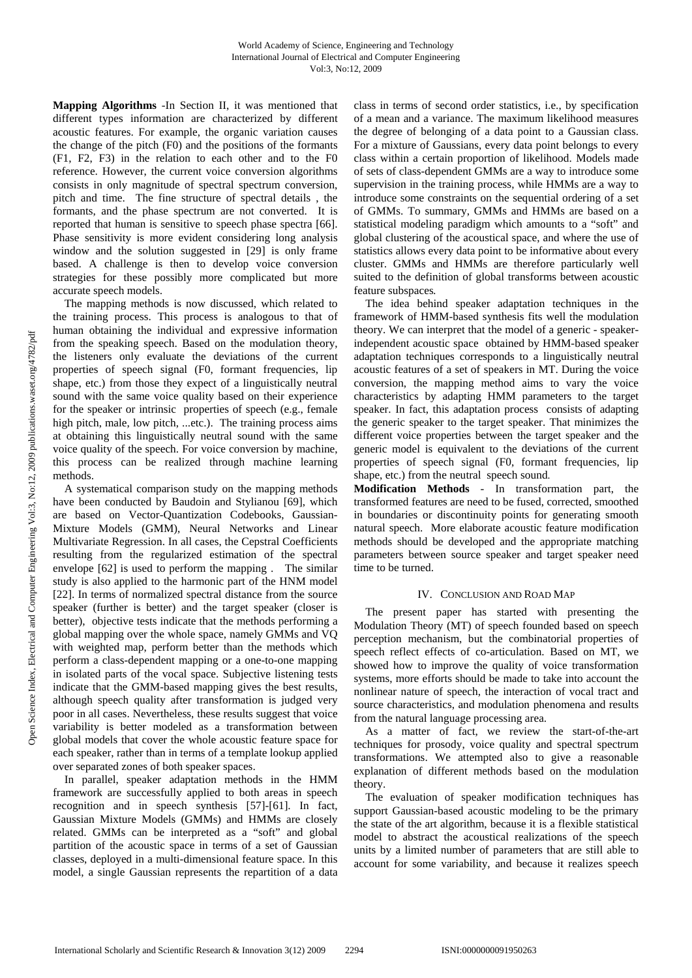**Mapping Algorithms** -In Section II, it was mentioned that different types information are characterized by different acoustic features. For example, the organic variation causes the change of the pitch (F0) and the positions of the formants (F1, F2, F3) in the relation to each other and to the F0 reference. However, the current voice conversion algorithms consists in only magnitude of spectral spectrum conversion, pitch and time. The fine structure of spectral details , the formants, and the phase spectrum are not converted. It is reported that human is sensitive to speech phase spectra [66]. Phase sensitivity is more evident considering long analysis window and the solution suggested in [29] is only frame based. A challenge is then to develop voice conversion strategies for these possibly more complicated but more accurate speech models.

The mapping methods is now discussed, which related to the training process. This process is analogous to that of human obtaining the individual and expressive information from the speaking speech. Based on the modulation theory, the listeners only evaluate the deviations of the current properties of speech signal (F0, formant frequencies, lip shape, etc.) from those they expect of a linguistically neutral sound with the same voice quality based on their experience for the speaker or intrinsic properties of speech (e.g., female high pitch, male, low pitch, ...etc.). The training process aims at obtaining this linguistically neutral sound with the same voice quality of the speech. For voice conversion by machine, this process can be realized through machine learning methods.

A systematical comparison study on the mapping methods have been conducted by Baudoin and Stylianou [69], which are based on Vector-Quantization Codebooks, Gaussian-Mixture Models (GMM), Neural Networks and Linear Multivariate Regression. In all cases, the Cepstral Coefficients resulting from the regularized estimation of the spectral envelope [62] is used to perform the mapping . The similar study is also applied to the harmonic part of the HNM model [22]. In terms of normalized spectral distance from the source speaker (further is better) and the target speaker (closer is better), objective tests indicate that the methods performing a global mapping over the whole space, namely GMMs and VQ with weighted map, perform better than the methods which perform a class-dependent mapping or a one-to-one mapping in isolated parts of the vocal space. Subjective listening tests indicate that the GMM-based mapping gives the best results, although speech quality after transformation is judged very poor in all cases. Nevertheless, these results suggest that voice variability is better modeled as a transformation between global models that cover the whole acoustic feature space for each speaker, rather than in terms of a template lookup applied over separated zones of both speaker spaces.

In parallel, speaker adaptation methods in the HMM framework are successfully applied to both areas in speech recognition and in speech synthesis [57]-[61]. In fact, Gaussian Mixture Models (GMMs) and HMMs are closely related. GMMs can be interpreted as a "soft" and global partition of the acoustic space in terms of a set of Gaussian classes, deployed in a multi-dimensional feature space. In this model, a single Gaussian represents the repartition of a data class in terms of second order statistics, i.e., by specification of a mean and a variance. The maximum likelihood measures the degree of belonging of a data point to a Gaussian class. For a mixture of Gaussians, every data point belongs to every class within a certain proportion of likelihood. Models made of sets of class-dependent GMMs are a way to introduce some supervision in the training process, while HMMs are a way to introduce some constraints on the sequential ordering of a set of GMMs. To summary, GMMs and HMMs are based on a statistical modeling paradigm which amounts to a "soft" and global clustering of the acoustical space, and where the use of statistics allows every data point to be informative about every cluster. GMMs and HMMs are therefore particularly well suited to the definition of global transforms between acoustic feature subspaces*.*

The idea behind speaker adaptation techniques in the framework of HMM-based synthesis fits well the modulation theory. We can interpret that the model of a generic - speakerindependent acoustic space obtained by HMM-based speaker adaptation techniques corresponds to a linguistically neutral acoustic features of a set of speakers in MT. During the voice conversion, the mapping method aims to vary the voice characteristics by adapting HMM parameters to the target speaker. In fact, this adaptation process consists of adapting the generic speaker to the target speaker. That minimizes the different voice properties between the target speaker and the generic model is equivalent to the deviations of the current properties of speech signal (F0, formant frequencies, lip shape, etc.) from the neutral speech sound.

**Modification Methods** - In transformation part, the transformed features are need to be fused, corrected, smoothed in boundaries or discontinuity points for generating smooth natural speech. More elaborate acoustic feature modification methods should be developed and the appropriate matching parameters between source speaker and target speaker need time to be turned.

# IV. CONCLUSION AND ROAD MAP

The present paper has started with presenting the Modulation Theory (MT) of speech founded based on speech perception mechanism, but the combinatorial properties of speech reflect effects of co-articulation. Based on MT, we showed how to improve the quality of voice transformation systems, more efforts should be made to take into account the nonlinear nature of speech, the interaction of vocal tract and source characteristics, and modulation phenomena and results from the natural language processing area.

As a matter of fact, we review the start-of-the-art techniques for prosody, voice quality and spectral spectrum transformations. We attempted also to give a reasonable explanation of different methods based on the modulation theory.

The evaluation of speaker modification techniques has support Gaussian-based acoustic modeling to be the primary the state of the art algorithm, because it is a flexible statistical model to abstract the acoustical realizations of the speech units by a limited number of parameters that are still able to account for some variability, and because it realizes speech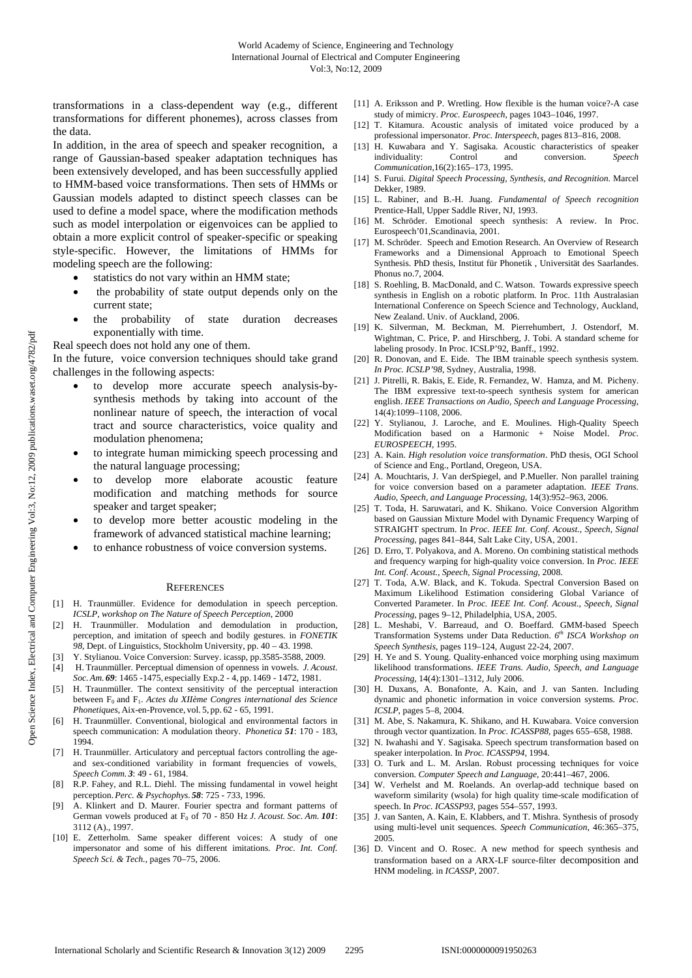transformations in a class-dependent way (e.g., different transformations for different phonemes), across classes from the data.

In addition, in the area of speech and speaker recognition, a range of Gaussian-based speaker adaptation techniques has been extensively developed, and has been successfully applied to HMM-based voice transformations. Then sets of HMMs or Gaussian models adapted to distinct speech classes can be used to define a model space, where the modification methods such as model interpolation or eigenvoices can be applied to obtain a more explicit control of speaker-specific or speaking style-specific. However, the limitations of HMMs for modeling speech are the following:

- statistics do not vary within an HMM state;
- the probability of state output depends only on the current state;
- the probability of state duration decreases exponentially with time.

Real speech does not hold any one of them.

In the future, voice conversion techniques should take grand challenges in the following aspects:

- to develop more accurate speech analysis-bysynthesis methods by taking into account of the nonlinear nature of speech, the interaction of vocal tract and source characteristics, voice quality and modulation phenomena;
- to integrate human mimicking speech processing and the natural language processing;
- to develop more elaborate acoustic feature modification and matching methods for source speaker and target speaker;
- to develop more better acoustic modeling in the framework of advanced statistical machine learning;
- to enhance robustness of voice conversion systems.

#### **REFERENCES**

- [1] H. Traunmüller. Evidence for demodulation in speech perception. *ICSLP, workshop on The Nature of Speech Perception*, 2000
- H. Traunmüller. Modulation and demodulation in production, perception, and imitation of speech and bodily gestures. in *FONETIK 98*, Dept. of Linguistics, Stockholm University, pp. 40 – 43. 1998.
- Y. Stylianou. Voice Conversion: Survey. icassp, pp.3585-3588, 2009.
- [4] H. Traunmüller. Perceptual dimension of openness in vowels. *J. Acoust. Soc. Am. 69*: 1465 -1475, especially Exp.2 - 4, pp. 1469 - 1472, 1981.
- [5] H. Traunmüller. The context sensitivity of the perceptual interaction between F<sub>0</sub> and F<sub>1</sub>. *Actes du XIIème Congres international des Science Phonetiques*, Aix-en-Provence, vol. 5, pp. 62 - 65, 1991.
- [6] H. Traunmüller. Conventional, biological and environmental factors in speech communication: A modulation theory. *Phonetica 51*: 170 - 183, 1994.
- [7] H. Traunmüller. Articulatory and perceptual factors controlling the ageand sex-conditioned variability in formant frequencies of vowels,. *Speech Comm. 3*: 49 - 61, 1984.
- [8] R.P. Fahey, and R.L. Diehl. The missing fundamental in vowel height perception.*Perc. & Psychophys. 58*: 725 - 733, 1996.
- [9] A. Klinkert and D. Maurer. Fourier spectra and formant patterns of German vowels produced at F<sub>0</sub> of 70 - 850 Hz *J. Acoust. Soc. Am.* 101: 3112 (A)., 1997.
- [10] E. Zetterholm. Same speaker different voices: A study of one impersonator and some of his different imitations. *Proc. Int. Conf. Speech Sci. & Tech.*, pages 70–75, 2006.
- [11] A. Eriksson and P. Wretling. How flexible is the human voice?-A case study of mimicry. *Proc. Eurospeech*, pages 1043–1046, 1997.
- [12] T. Kitamura. Acoustic analysis of imitated voice produced by a professional impersonator. *Proc. Interspeech*, pages 813–816, 2008.
- [13] H. Kuwabara and Y. Sagisaka. Acoustic characteristics of speaker individuality: Control and conversion. *Speech Communication*,16(2):165–173, 1995.
- [14] S. Furui. *Digital Speech Processing, Synthesis, and Recognition*. Marcel Dekker, 1989.
- [15] L. Rabiner, and B.-H. Juang. *Fundamental of Speech recognition* Prentice-Hall, Upper Saddle River, NJ, 1993.
- [16] M. Schröder. Emotional speech synthesis: A review. In Proc. Eurospeech'01,Scandinavia, 2001.
- [17] M. Schröder. Speech and Emotion Research. An Overview of Research Frameworks and a Dimensional Approach to Emotional Speech Synthesis. PhD thesis, Institut für Phonetik , Universität des Saarlandes. Phonus no.7, 2004.
- [18] S. Roehling, B. MacDonald, and C. Watson. Towards expressive speech synthesis in English on a robotic platform. In Proc. 11th Australasian International Conference on Speech Science and Technology, Auckland, New Zealand. Univ. of Auckland, 2006.
- [19] K. Silverman, M. Beckman, M. Pierrehumbert, J. Ostendorf, M. Wightman, C. Price, P. and Hirschberg, J. Tobi. A standard scheme for labeling prosody. In Proc. ICSLP'92, Banff., 1992.
- [20] R. Donovan, and E. Eide. The IBM trainable speech synthesis system. *In Proc. ICSLP'98*, Sydney, Australia, 1998.
- [21] J. Pitrelli, R. Bakis, E. Eide, R. Fernandez, W. Hamza, and M. Picheny. The IBM expressive text-to-speech synthesis system for american english. *IEEE Transactions on Audio, Speech and Language Processing*, 14(4):1099–1108, 2006.
- [22] Y. Stylianou, J. Laroche, and E. Moulines. High-Quality Speech Modification based on a Harmonic + Noise Model. *Proc. EUROSPEECH*, 1995.
- [23] A. Kain. *High resolution voice transformation*. PhD thesis, OGI School of Science and Eng., Portland, Oregeon, USA.
- [24] A. Mouchtaris, J. Van derSpiegel, and P. Mueller. Non parallel training for voice conversion based on a parameter adaptation. *IEEE Trans. Audio, Speech, and Language Processing*, 14(3):952–963, 2006.
- [25] T. Toda, H. Saruwatari, and K. Shikano. Voice Conversion Algorithm based on Gaussian Mixture Model with Dynamic Frequency Warping of STRAIGHT spectrum. In *Proc. IEEE Int. Conf. Acoust., Speech, Signal Processing*, pages 841–844, Salt Lake City, USA, 2001.
- [26] D. Erro, T. Polyakova, and A. Moreno. On combining statistical methods and frequency warping for high-quality voice conversion. In *Proc. IEEE Int. Conf. Acoust., Speech, Signal Processing*, 2008.
- [27] T. Toda, A.W. Black, and K. Tokuda. Spectral Conversion Based on Maximum Likelihood Estimation considering Global Variance of Converted Parameter. In *Proc. IEEE Int. Conf. Acoust., Speech, Signal Processing*, pages 9–12, Philadelphia, USA, 2005.
- [28] L. Meshabi, V. Barreaud, and O. Boeffard. GMM-based Speech Transformation Systems under Data Reduction. *6th ISCA Workshop on Speech Synthesis*, pages 119–124, August 22-24, 2007.
- [29] H. Ye and S. Young. Quality-enhanced voice morphing using maximum likelihood transformations. *IEEE Trans. Audio, Speech, and Language Processing*, 14(4):1301–1312, July 2006.
- [30] H. Duxans, A. Bonafonte, A. Kain, and J. van Santen. Including dynamic and phonetic information in voice conversion systems. *Proc. ICSLP*, pages 5–8, 2004.
- [31] M. Abe, S. Nakamura, K. Shikano, and H. Kuwabara. Voice conversion through vector quantization. In *Proc. ICASSP88*, pages 655–658, 1988.
- [32] N. Iwahashi and Y. Sagisaka. Speech spectrum transformation based on speaker interpolation. In *Proc. ICASSP94*, 1994.
- [33] O. Turk and L. M. Arslan. Robust processing techniques for voice conversion. *Computer Speech and Language*, 20:441–467, 2006.
- [34] W. Verhelst and M. Roelands. An overlap-add technique based on waveform similarity (wsola) for high quality time-scale modification of speech. In *Proc. ICASSP93*, pages 554–557, 1993.
- [35] J. van Santen, A. Kain, E. Klabbers, and T. Mishra. Synthesis of prosody using multi-level unit sequences. *Speech Communication*, 46:365–375, 2005.
- [36] D. Vincent and O. Rosec. A new method for speech synthesis and transformation based on a ARX-LF source-filter decomposition and HNM modeling. in *ICASSP*, 2007.